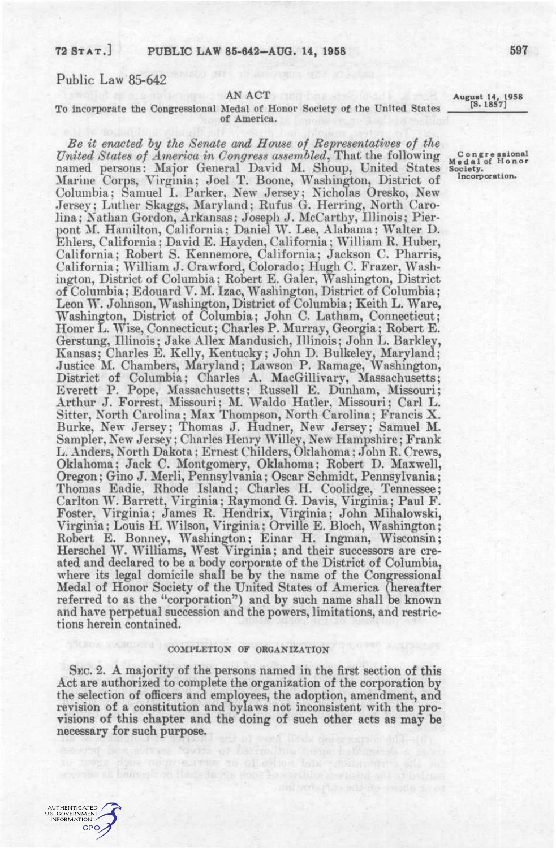## **72 STAT. ] PUBLIC LAW 85-642-AUG. 14, 1958** 697

# Public Law 85-642

### AN ACT

### To incorporate the Congressional Medal of Honor Society of the United States of America.

*Be it enacted hy the Senate and House of Representatwes of the United States of America in Congress assembled*, That the following named persons: Major General David M. Shoup, United States Marine Corps, Virginia; Joel T. Boone, Washington, District of Columbia; Samuel I. Parker, New Jersey; Nicholas Oresko, New Jersey; Luther Skaggs, Maryland; Rufus G. Herring, North Carolina; Nathan Gordon, Arkansas; Joseph J. McCarthy, Illinois; Pierpont M. Hamilton, California; Daniel W. Lee, Alabama; Walter D. Ehlers, California; David E. Hayden, California; William R. Huber, California; Robert S. Kennemore, California; Jackson C. Pharris, California; William J. Crawford, Colorado; Hugh C. Frazer, Washington, District of Columbia; Robert E. Galer, Washington, District of Columbia; Edouard V. M. Izac, Washington, District of Columbia; Leon W. Johnson, Washington, District of Columbia; Keith L. Ware, Washington, District of Columbia; John C. Latham, Connecticut; Homer L. Wise, Connecticut; Charles P. Murray, Georgia; Robert E. Gerstung, Illinois; Jake Allex Mandusich, Illinois; John L. Barkley, Kansas; Charles E. Kelly, Kentucky; John D. Bulkeley, Maryland; Justice M. Chambers, Maryland; Lawson P. Ramage, Washington, District of Columbia; Charles A. MacGillivary, Massachusetts; Everett P. Pope, Massachusetts; Russell E. Dunham, Missouri; Arthur J. Forrest, Missouri; M. Waldo Hatler, Missouri; Carl L. Sitter, North Carolina; Max Thompson, North Carolina; Francis X. Burke, New Jersey; Thomas J. Hudner, New Jersey; Samuel M. Sampler, New Jersey; Charles Henry Willey, New Hampshire; Frank L. Anders, North Dakota; Ernest Childers, Oklahoma; John R. Crews, Oklahoma; Jack C. Montgomery, Oklahoma; Robert D. Maxwell, Oregon; Gino J. Merli, Pennsylvania; Oscar Schmidt, Pennsylvania; Thomas Eadie, Rhode Island; Charles H. Coolidge, Tennessee; Carlton W. Barrett, Virginia; Raymond G. Davis, Virginia; Paul F. Foster, Virginia; James R. Hendrix, Virginia; John Mihalowski, Virginia; Louis H. Wilson, Virginia; Orville E. Bloch, Washington; Robert E. Bonney, Washington; Einar H. Ingman, Wisconsin; Herschel W. Williams, West Virginia; and their successors are created and declared to be a body corporate of the District of Columbia, where its legal domicile shall be by the name of the Congressional Medal of Honor Society of the United States of America (hereafter referred to as the "corporation") and by such name shall be known and have perpetual succession and the powers, limitations, and restrictions herein contained.

## **COMPLETION OF ORGANIZATION**

SEC. 2. A majority of the persons named in the first section of this Act are authorized to complete the organization of the corporation by the selection of officers and employees, the adoption, amendment, and revision of a constitution and bylaws not inconsistent with the provisions of this chapter and the doing of such other acts as may be necessary for such purpose.

ILS THREE POINT TO THE TO A LEFTING THE STOLET THE S

AUTHENTICATED 0 THEN HOATED<br>1. GOVERNMENT<br>NFORMATION **GPO**  **August 14, 1958 [S. 1857]** 

**C ong r e ssional Meda l of Hono r Society. Incorporation.**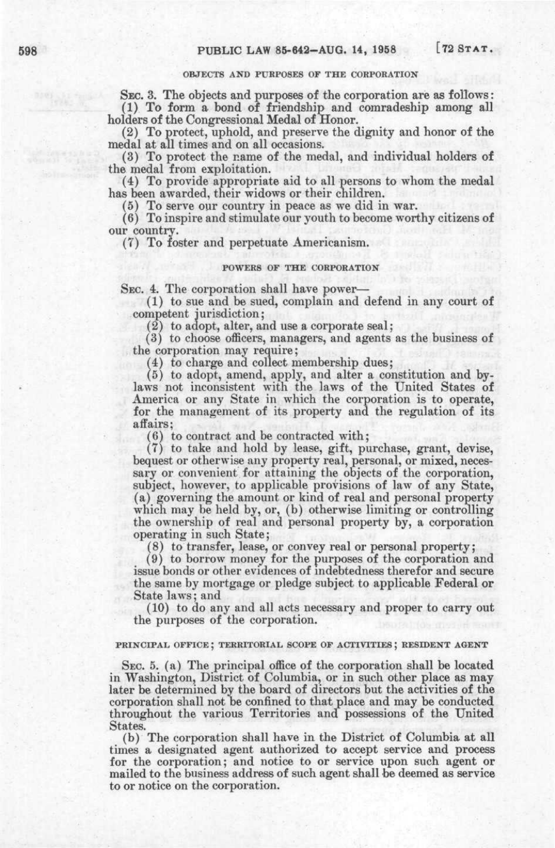# **OBJECTS AND PURPOSES OF THE CORPORATION**

SEC. 3. The objects and purposes of the corporation are as follows; (1) To form a bond of friendship and comradeship among all holders of the Congressional Medal of Honor.

(2) To protect, uphold, and preserve the dignity and honor of the medal at all times and on all occasions.

(3) To protect the name of the medal, and individual holders of the medal from exploitation.

(4) To provide appropriate aid to all persons to whom the medal has been awarded, their widows or their children.

(5) To serve our country in peace as we did in war.

(6) To inspire and stimulate our youth to become worthy citizens of our country.

(7) To foster and perpetuate Americanism.

#### **POWERS OF THE CORPORATION**

SEC. 4. The corporation shall have power—

(1) to sue and be sued, complain and defend in any court of competent jurisdiction;

(2) to adopt, alter, and use a corporate seal;

(3) to choose officers, managers, and agents as the business of the corporation may require;

(4) to charge and collect membership dues;

(5) to adopt, amend, apply, and alter a constitution and bylaws not inconsistent with the laws of the United States of America or any State in which the corporation is to operate, for the management of its property and the regulation of its affairs;

(6) to contract and be contracted with;

(7) to take and hold by lease, gift, purchase, grant, devise, bequest or otherwise any property real, personal, or mixed, necessary or convenient for attaining the objects of the corporation, subject, however, to applicable provisions of law of any State, (a) governing the amount or kind of real and personal property which may be held by, or, (b) otherwise limiting or controlling the ownership of real and personal property by, a corporation operating in such State;

(8) to transfer, lease, or convey real or personal property;

(9) to borrow money for the purposes of the corporation and issue bonds or other evidences of indebtedness therefor and secure the same by mortgage or pledge subject to applicable Federal or State laws; and

(10) to do any and all acts necessary and proper to carry out the purposes of the corporation.

## **PRINCIPAL OFFICE ; TERRITORIAL SCOPE OP ACTIVITIES; RESIDENT AGENT**

SEC. 5. (a) The principal office of the corporation shall be located in Washington, District of Columbia, or in such other place as may later be determined by the board of directors but the activities of the corporation shall not be confined to that place and may be conducted throughout the various Territories and possessions of the United States.

(b) The corporation shall have in the District of Columbia at all times a designated agent authorized to accept service and process for the corporation; and notice to or service upon such agent or mailed to the business address of such agent shall be deemed as service to or notice on the corporation.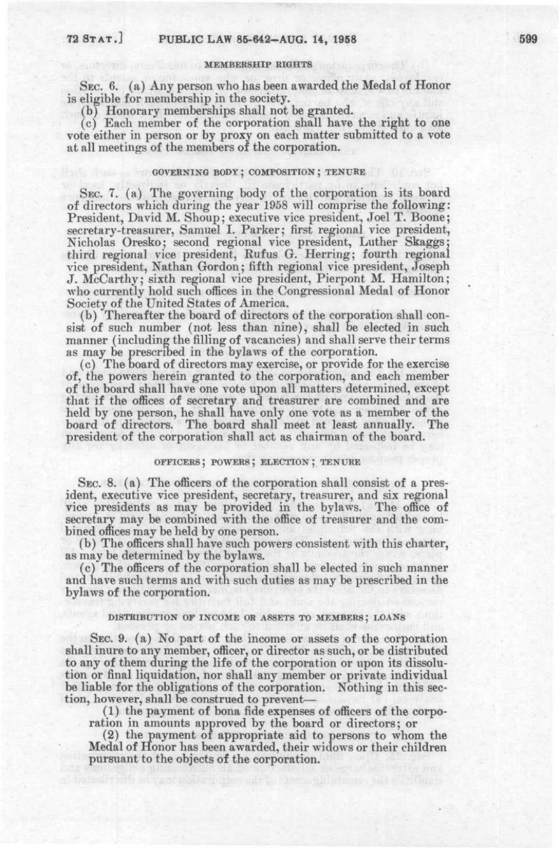#### MEMBERSHIP RIGHTS

SEC. 6. (a) Any person who has been awarded the Medal of Honor is eligible for membership in the society.

(b) Honorary memberships shall not be granted.

(c) Each member of the corporation shall have the right to one vote either in person or by proxy on each matter submitted to a vote at all meetings of the members of the corporation.

## GOVERNING BODY; COMPOSITION; TENURE

SEC. 7. (a) The governing body of the corporation is its board of directors which during the year 1958 will comprise the following: President, David M. Shoup; executive vice president, Joel T. Boone; secretary-treasurer, Samuel I. Parker; first regional vice president, Nicholas Oresko; second regional vice president, Luther Skaggs; third regional vice president, Rufus G. Herring; fourth regional vice president, Nathan Gordon; fifth regional vice president, Joseph J. McCarthy; sixth regional vice president, Pierpont M. Hamilton; who currently hold such offices in the Congressional Medal of Honor Society of the United States of America.

(b) Thereafter the board of directors of the corporation shall consist of such number (not less than nine), shall be elected in such manner (including the filling of vacancies) and shall serve their terms as may be prescribed in the bylaws of the corporation.

(c) The board of directors may exercise, or provide for the exercise of, the powers herein granted to the corporation, and each member of the board shall have one vote upon all matters determined, except that if the offices of secretary and treasurer are combined and are held by one person, he shall have only one vote as a member of the board of directors. The board shall meet at least annually. The board of directors. The board shall meet at least annually. president of the corporation shall act as chairman of the board.

## OFFICERS ; POWERS; ELECTION ; TENURE

SEC. 8. (a) The officers of the corporation shall consist of a president, executive vice president, secretary, treasurer, and six regional vice presidents as may be provided in the bylaw^s. The office of secretary may be combined with the office of treasurer and the combined offices may be held by one person.

(b) The officers shall have such powers consistent with this charter, as may be determined by the bylaws.

(c) The officers of the corporation shall be elected in such manner and have such terms and with such duties as may be prescribed in the bylaws of the corporation.

#### DISTRIBUTION OF INCOME OR ASSETS TO MEMBERS ; LOANS

SEC. 9. (a) No part of the income or assets of the corporation shall inure to any member, officer, or director as such, or be distributed to any of them during the life of the corporation or upon its dissolution or final liquidation, nor shall any member or private individual be liable for the obligations of the corporation. Nothing in this section, however, shall be construed to prevent—

(1) the payment of bona fide expenses of officers of the corporation in amounts approved by the board or directors; or

(2) the payment of appropriate aid to persons to whom the Medal of Honor has been awarded, their widows or their children pursuant to the objects of the corporation.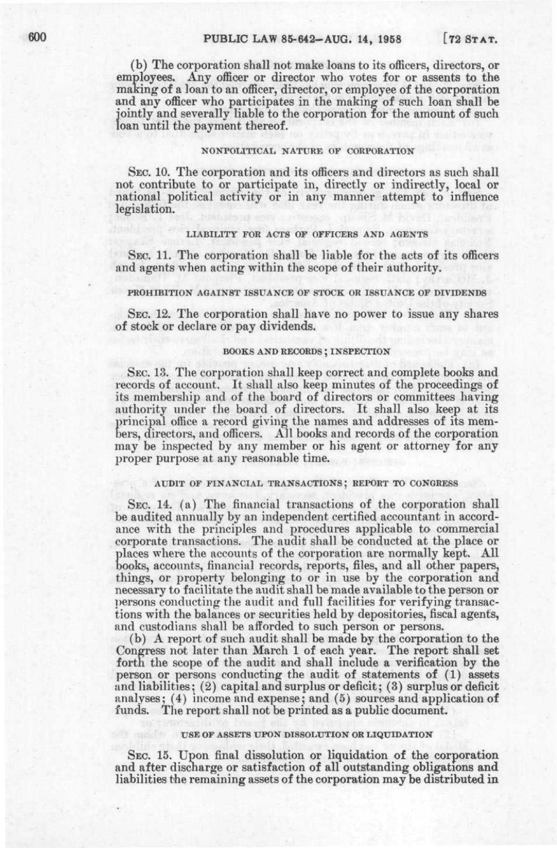(b) The corporation shall not make loans to its officers, directors, or employees. Any officer or director who votes for or assents to the making of a loan to an officer, director, or employee of the corporation and any officer who participates in the making of such loan shall be jointly and severally liable to the corporation for the amount of such loan until the payment thereof.

## NONPOLITICAL NATURE OF CORPORATION

SEC. 10. The corporation and its officers and directors as such shall not contribute to or participate in, directly or indirectly, local or national political activity or in any manner attempt to influence legislation.

#### LIABILITY FOR ACTS OF OFFICERS AND AGENTS

SEC. 11. The corporation shall be liable for the acts of its officers and agents when acting within the scope of their authority.

#### PROHIBITION AGAINST ISSUANCE OF STOCK OR ISSUANCE OF DIVIDENDS

SEC. 12. The corporation shall have no power to issue any shares of stock or declare or pay dividends.

## BOOKS AND RECORDS ; INSPECTION

SEC. 13. The corporation shall keep correct and complete books and records of account. It shall also keep minutes of the proceedings of its membership and of the board of directors or committees having authority under the board of directors. It shall also keep at its bers, directors, and officers. All books and records of the corporation rincipal office a record giving the names and addresses of its memmay be inspected by any member or his agent or attorney for any proper purpose at any reasonable time.

### AUDIT OF FINANCIAL TRANSACTIONS; REPORT TO CONGRESS

SEC. 14. (a) The financial transactions of the corporation shall be audited annually by an independent certified accountant in accordance with the principles and procedures applicable to commercial corporate transactions. The audit shall be conducted at the place or places where the accounts of the corporation are normally kept. All books, accounts, financial records, reports, files, and all other papers, things, or property belonging to or in use by the corporation and necessary to facilitate the audit shall be made available to the person or persons conducting the audit and full facilities for verifying transactions with the balances or securities held by depositories, fiscal agents, and custodians shall be afforded to such person or persons.

(b) A report of such audit shall be made by the corporation to the Congress not later than March 1 of each year. The report shall set forth the scope of the audit and shall include a verification by the person or persons conducting the audit of statements of (1) assets and liabilities; (2) capital and surplus or deficit; (3) surplus or deficit analyses; (4) income and expense; and (5) sources and application of funds. The report shall not be printed as a public document.

#### USE OF ASSETS UPON DISSOLUTION OR LIQUIDATION

SEC. 15. Upon final dissolution or liquidation of the corporation and after discharge or satisfaction of all outstanding obligations and liabilities the remaining assets of the corporation may be distributed in